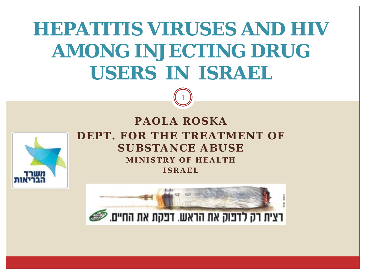# **HEPATITIS VIRUSES AND HIV AMONG INJECTING DRUG USERS IN ISRAEL**

1



#### **PAOLA ROSKA DEPT. FOR THE TREATMENT OF SUBSTANCE ABUSE MINISTRY OF HEALTH ISRAEL**

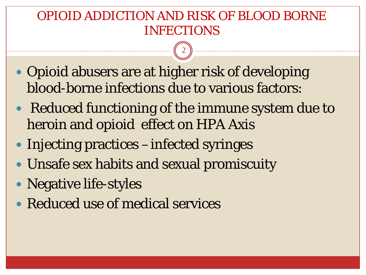#### OPIOID ADDICTION AND RISK OF BLOOD BORNE INFECTIONS

- Opioid abusers are at higher risk of developing blood-borne infections due to various factors:
- Reduced functioning of the immune system due to heroin and opioid effect on HPA Axis
- Injecting practices –infected syringes
- Unsafe sex habits and sexual promiscuity
- Negative life-styles
- Reduced use of medical services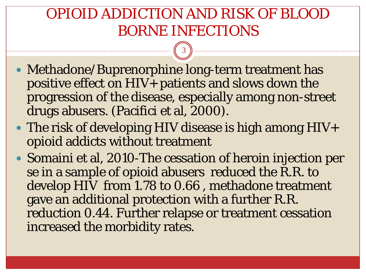#### OPIOID ADDICTION AND RISK OF BLOOD BORNE INFECTIONS

- Methadone/Buprenorphine long-term treatment has positive effect on  $HIV<sub>+</sub>$  patients and slows down the progression of the disease, especially among non-street drugs abusers. (Pacifici et al, 2000).
- The risk of developing HIV disease is high among HIV+ opioid addicts without treatment
- Somaini et al, 2010-The cessation of heroin injection per se in a sample of opioid abusers reduced the R.R. to develop HIV from 1.78 to 0.66 , methadone treatment gave an additional protection with a further R.R. reduction 0.44. Further relapse or treatment cessation increased the morbidity rates.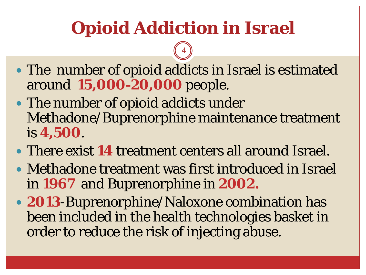# **Opioid Addiction in Israel**

- The number of opioid addicts in Israel is estimated around **15,000-20,000** people.
- The number of opioid addicts under Methadone/Buprenorphine maintenance treatment is **4,500**.
- There exist **14** treatment centers all around Israel.
- Methadone treatment was first introduced in Israel in **1967** and Buprenorphine in **2002.**
- **2013**-Buprenorphine/Naloxone combination has been included in the health technologies basket in order to reduce the risk of injecting abuse.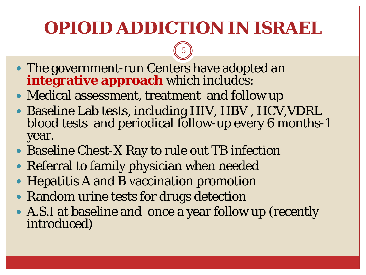### **OPIOID ADDICTION IN ISRAEL**

- The government-run Centers have adopted an **integrative approach** which includes:
- Medical assessment, treatment and follow up
- Baseline Lab tests, including HIV, HBV , HCV,VDRL blood tests and periodical follow-up every 6 months-1 year.
- Baseline Chest-X Ray to rule out TB infection
- Referral to family physician when needed
- Hepatitis A and B vaccination promotion
- Random urine tests for drugs detection
- A.S.I at baseline and once a year follow up (recently introduced)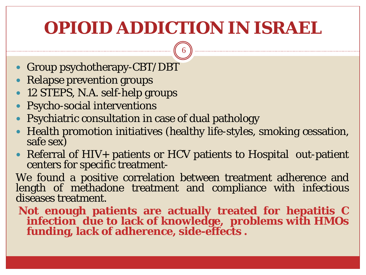#### **OPIOID ADDICTION IN ISRAEL**

6

- Group psychotherapy-CBT/DBT
- Relapse prevention groups
- 12 STEPS, N.A. self-help groups
- Psycho-social interventions
- Psychiatric consultation in case of dual pathology
- Health promotion initiatives (healthy life-styles, smoking cessation, safe sex)
- Referral of HIV+ patients or HCV patients to Hospital out-patient centers for specific treatment-

We found a positive correlation between treatment adherence and length of methadone treatment and compliance with infectious diseases treatment.

**Not enough patients are actually treated for hepatitis C infection due to lack of knowledge, problems with HMOs funding, lack of adherence, side-effects .**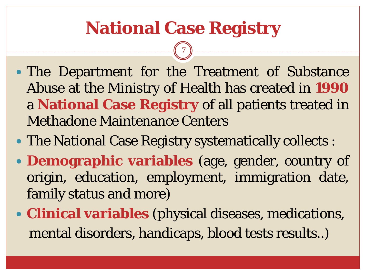### **National Case Registry**

- The Department for the Treatment of Substance Abuse at the Ministry of Health has created in **1990** a **National Case Registry** of all patients treated in Methadone Maintenance Centers
- The National Case Registry systematically collects :
- **Demographic variables** (age, gender, country of origin, education, employment, immigration date, family status and more)
- **Clinical variables** (physical diseases, medications, mental disorders, handicaps, blood tests results..)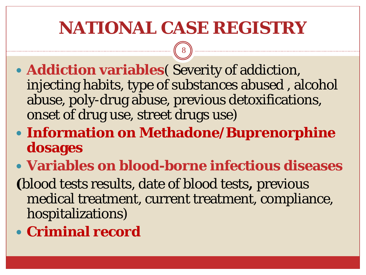#### **NATIONAL CASE REGISTRY**

8

- **Addiction variables**( Severity of addiction, injecting habits, type of substances abused , alcohol abuse, poly-drug abuse, previous detoxifications, onset of drug use, street drugs use)
- **Information on Methadone/Buprenorphine dosages**
- **Variables on blood-borne infectious diseases**

**(**blood tests results, date of blood tests**,** previous medical treatment, current treatment, compliance, hospitalizations)

**Criminal record**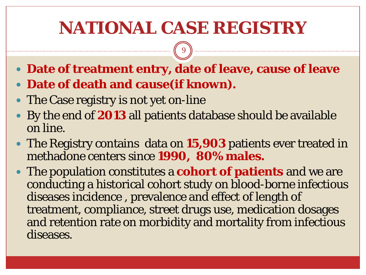#### **NATIONAL CASE REGISTRY**

- **Date of treatment entry, date of leave, cause of leave**
- **Date of death and cause(if known).**
- The Case registry is not yet on-line
- By the end of **2013** all patients database should be available on line.
- The Registry contains data on **15,903** patients ever treated in methadone centers since **1990, 80% males.**
- The population constitutes a **cohort of patients** and we are conducting a historical cohort study on blood-borne infectious diseases incidence , prevalence and effect of length of treatment, compliance, street drugs use, medication dosages and retention rate on morbidity and mortality from infectious diseases.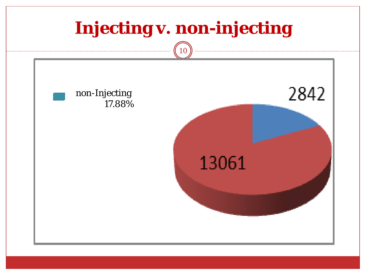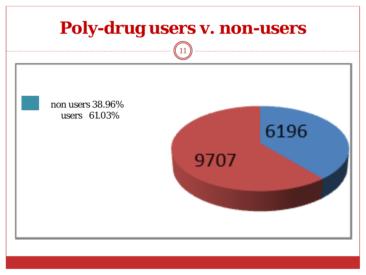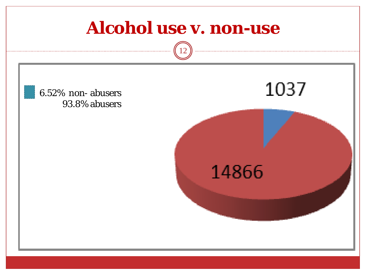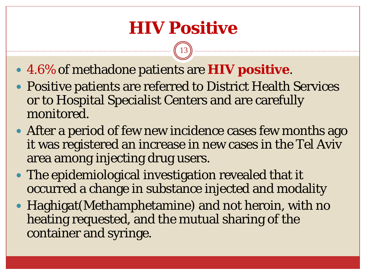#### **HIV Positive**

- 4.6% of methadone patients are **HIV positive**.
- Positive patients are referred to District Health Services or to Hospital Specialist Centers and are carefully monitored.
- After a period of few new incidence cases few months ago it was registered an increase in new cases in the Tel Aviv area among injecting drug users.
- The epidemiological investigation revealed that it occurred a change in substance injected and modality
- Haghigat(Methamphetamine) and not heroin, with no heating requested, and the mutual sharing of the container and syringe.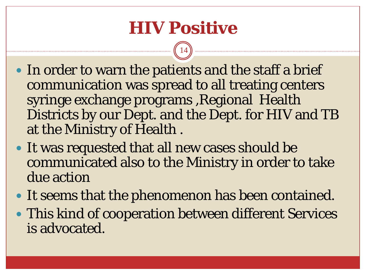#### **HIV Positive**

- In order to warn the patients and the staff a brief communication was spread to all treating centers syringe exchange programs ,Regional Health Districts by our Dept. and the Dept. for HIV and TB at the Ministry of Health .
- It was requested that all new cases should be communicated also to the Ministry in order to take due action
- It seems that the phenomenon has been contained.
- This kind of cooperation between different Services is advocated.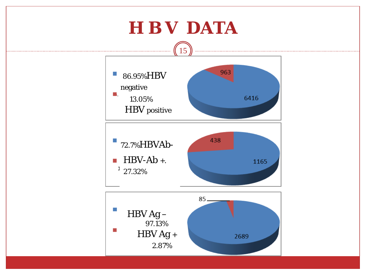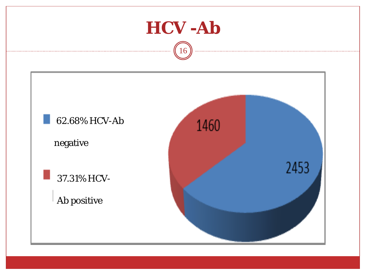![](_page_15_Figure_0.jpeg)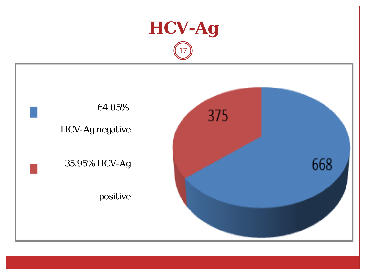![](_page_16_Figure_0.jpeg)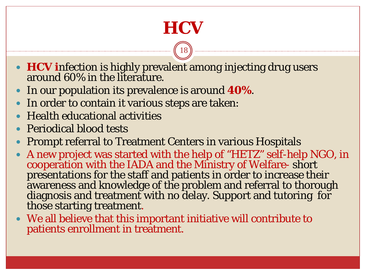## **HCV**

- **HCV** infection is highly prevalent among injecting drug users around 60% in the literature.
- In our population its prevalence is around **40%**.
- In order to contain it various steps are taken:
- Health educational activities
- Periodical blood tests
- Prompt referral to Treatment Centers in various Hospitals
- A new project was started with the help of "HETZ" self-help NGO, in cooperation with the IADA and the Ministry of Welfare- short presentations for the staff and patients in order to increase their awareness and knowledge of the problem and referral to thorough diagnosis and treatment with no delay. Support and tutoring for those starting treatment.
- We all believe that this important initiative will contribute to patients enrollment in treatment.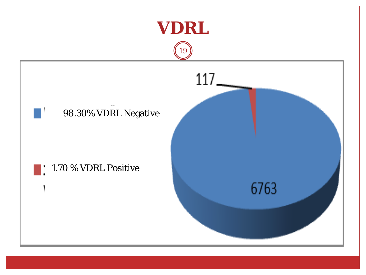![](_page_18_Figure_0.jpeg)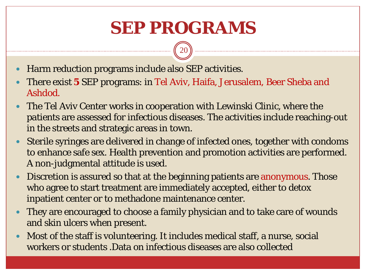#### **SEP PROGRAMS**

- Harm reduction programs include also SEP activities.
- There exist **5** SEP programs: in Tel Aviv, Haifa, Jerusalem, Beer Sheba and Ashdod.
- The Tel Aviv Center works in cooperation with Lewinski Clinic, where the patients are assessed for infectious diseases. The activities include reaching-out in the streets and strategic areas in town.
- Sterile syringes are delivered in change of infected ones, together with condoms to enhance safe sex. Health prevention and promotion activities are performed. A non-judgmental attitude is used.
- Discretion is assured so that at the beginning patients are anonymous. Those who agree to start treatment are immediately accepted, either to detox inpatient center or to methadone maintenance center.
- They are encouraged to choose a family physician and to take care of wounds and skin ulcers when present.
- Most of the staff is volunteering. It includes medical staff, a nurse, social workers or students .Data on infectious diseases are also collected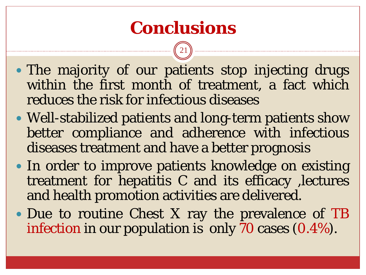#### **Conclusions**

- The majority of our patients stop injecting drugs within the first month of treatment, a fact which reduces the risk for infectious diseases
- Well-stabilized patients and long-term patients show better compliance and adherence with infectious diseases treatment and have a better prognosis
- In order to improve patients knowledge on existing treatment for hepatitis C and its efficacy ,lectures and health promotion activities are delivered.
- Due to routine Chest X ray the prevalence of TB infection in our population is only 70 cases (0.4%).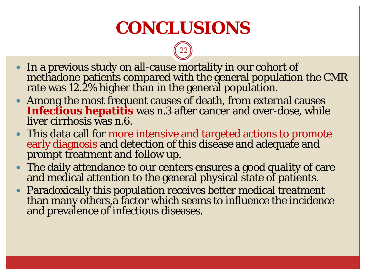#### **CONCLUSIONS**

- In a previous study on all-cause mortality in our cohort of methadone patients compared with the general population the CMR rate was 12.2% higher than in the general population.
- Among the most frequent causes of death, from external causes **Infectious hepatitis** was n.3 after cancer and over-dose, while liver cirrhosis was n.6.
- This data call for more intensive and targeted actions to promote early diagnosis and detection of this disease and adequate and prompt treatment and follow up.
- The daily attendance to our centers ensures a good quality of care and medical attention to the general physical state of patients.
- Paradoxically this population receives better medical treatment than many others, a factor which seems to influence the incidence and prevalence of infectious diseases.